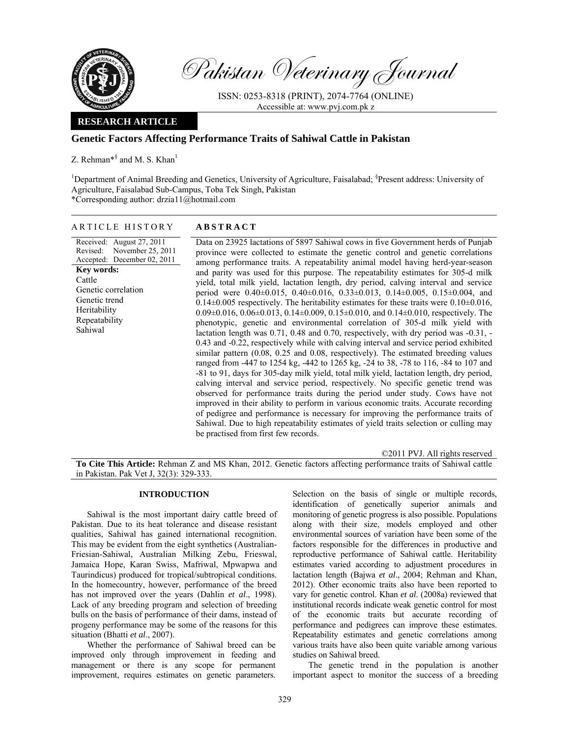

Pakistan Veterinary Journal

ISSN: 0253-8318 (PRINT), 2074-7764 (ONLINE) Accessible at: www.pvj.com.pk z

## **RESEARCH ARTICLE**

## **Genetic Factors Affecting Performance Traits of Sahiwal Cattle in Pakistan**

Z. Rehman\*<sup>§</sup> and M. S. Khan<sup>1</sup>

<sup>1</sup>Department of Animal Breeding and Genetics, University of Agriculture, Faisalabad; <sup>§</sup>Present address: University of Agriculture, Faisalabad Sub-Campus, Toba Tek Singh, Pakistan \*Corresponding author: drzia11@hotmail.com

#### ARTICLE HISTORY **ABSTRACT**

Received: August 27, 2011 Revised: November 25, 2011 Accepted: December 02, 2011 **Key words:**  Cattle Genetic correlation Genetic trend Heritability Repeatability Sahiwal

Data on 23925 lactations of 5897 Sahiwal cows in five Government herds of Punjab province were collected to estimate the genetic control and genetic correlations among performance traits. A repeatability animal model having herd-year-season and parity was used for this purpose. The repeatability estimates for 305-d milk yield, total milk yield, lactation length, dry period, calving interval and service period were  $0.40\pm0.015$ ,  $0.40\pm0.016$ ,  $0.33\pm0.013$ ,  $0.14\pm0.005$ ,  $0.15\pm0.004$ , and  $0.14\pm0.005$  respectively. The heritability estimates for these traits were  $0.10\pm0.016$ ,  $0.09\pm0.016$ ,  $0.06\pm0.013$ ,  $0.14\pm0.009$ ,  $0.15\pm0.010$ , and  $0.14\pm0.010$ , respectively. The phenotypic, genetic and environmental correlation of 305-d milk yield with lactation length was 0.71, 0.48 and 0.70, respectively, with dry period was -0.31, - 0.43 and -0.22, respectively while with calving interval and service period exhibited similar pattern (0.08, 0.25 and 0.08, respectively). The estimated breeding values ranged from -447 to 1254 kg, -442 to 1265 kg, -24 to 38, -78 to 116, -84 to 107 and -81 to 91, days for 305-day milk yield, total milk yield, lactation length, dry period, calving interval and service period, respectively. No specific genetic trend was observed for performance traits during the period under study. Cows have not improved in their ability to perform in various economic traits. Accurate recording of pedigree and performance is necessary for improving the performance traits of Sahiwal. Due to high repeatability estimates of yield traits selection or culling may be practised from first few records.

©2011 PVJ. All rights reserved

**To Cite This Article:** Rehman Z and MS Khan, 2012. Genetic factors affecting performance traits of Sahiwal cattle in Pakistan. Pak Vet J, 32(3): 329-333.

#### **INTRODUCTION**

Sahiwal is the most important dairy cattle breed of Pakistan. Due to its heat tolerance and disease resistant qualities, Sahiwal has gained international recognition. This may be evident from the eight synthetics (Australian-Friesian-Sahiwal, Australian Milking Zebu, Frieswal, Jamaica Hope, Karan Swiss, Mafriwal, Mpwapwa and Taurindicus) produced for tropical/subtropical conditions. In the homecountry, however, performance of the breed has not improved over the years (Dahlin *et al*., 1998). Lack of any breeding program and selection of breeding bulls on the basis of performance of their dams, instead of progeny performance may be some of the reasons for this situation (Bhatti *et al*., 2007).

Whether the performance of Sahiwal breed can be improved only through improvement in feeding and management or there is any scope for permanent improvement, requires estimates on genetic parameters. Selection on the basis of single or multiple records, identification of genetically superior animals and monitoring of genetic progress is also possible. Populations along with their size, models employed and other environmental sources of variation have been some of the factors responsible for the differences in productive and reproductive performance of Sahiwal cattle. Heritability estimates varied according to adjustment procedures in lactation length (Bajwa *et al*., 2004; Rehman and Khan, 2012). Other economic traits also have been reported to vary for genetic control. Khan *et al*. (2008a) reviewed that institutional records indicate weak genetic control for most of the economic traits but accurate recording of performance and pedigrees can improve these estimates. Repeatability estimates and genetic correlations among various traits have also been quite variable among various studies on Sahiwal breed.

The genetic trend in the population is another important aspect to monitor the success of a breeding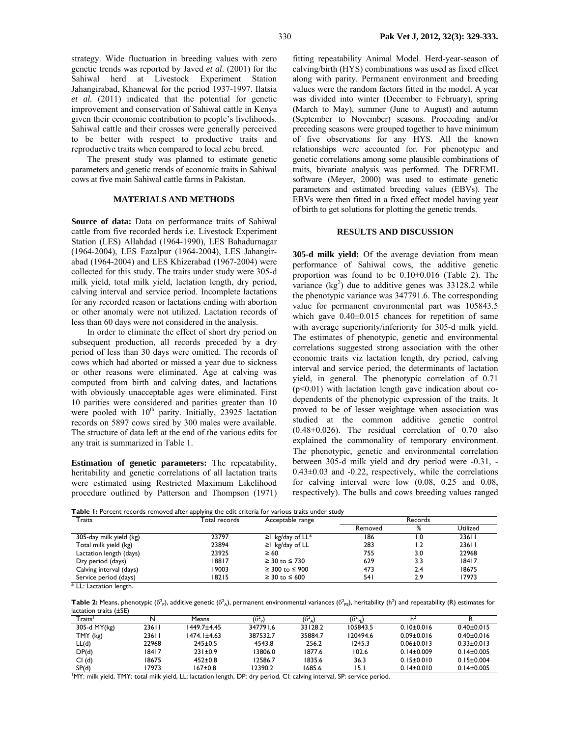strategy. Wide fluctuation in breeding values with zero genetic trends was reported by Javed *et al*. (2001) for the Sahiwal herd at Livestock Experiment Station Jahangirabad, Khanewal for the period 1937-1997. Ilatsia *et al.* (2011) indicated that the potential for genetic improvement and conservation of Sahiwal cattle in Kenya given their economic contribution to people's livelihoods. Sahiwal cattle and their crosses were generally perceived to be better with respect to productive traits and reproductive traits when compared to local zebu breed.

The present study was planned to estimate genetic parameters and genetic trends of economic traits in Sahiwal cows at five main Sahiwal cattle farms in Pakistan.

### **MATERIALS AND METHODS**

**Source of data:** Data on performance traits of Sahiwal cattle from five recorded herds i.e. Livestock Experiment Station (LES) Allahdad (1964-1990), LES Bahadurnagar (1964-2004), LES Fazalpur (1964-2004), LES Jahangirabad (1964-2004) and LES Khizerabad (1967-2004) were collected for this study. The traits under study were 305-d milk yield, total milk yield, lactation length, dry period, calving interval and service period. Incomplete lactations for any recorded reason or lactations ending with abortion or other anomaly were not utilized. Lactation records of less than 60 days were not considered in the analysis.

In order to eliminate the effect of short dry period on subsequent production, all records preceded by a dry period of less than 30 days were omitted. The records of cows which had aborted or missed a year due to sickness or other reasons were eliminated. Age at calving was computed from birth and calving dates, and lactations with obviously unacceptable ages were eliminated. First 10 parities were considered and parities greater than 10 were pooled with  $10<sup>th</sup>$  parity. Initially, 23925 lactation records on 5897 cows sired by 300 males were available. The structure of data left at the end of the various edits for any trait is summarized in Table 1.

**Estimation of genetic parameters:** The repeatability, heritability and genetic correlations of all lactation traits were estimated using Restricted Maximum Likelihood procedure outlined by Patterson and Thompson (1971)

fitting repeatability Animal Model. Herd-year-season of calving/birth (HYS) combinations was used as fixed effect along with parity. Permanent environment and breeding values were the random factors fitted in the model. A year was divided into winter (December to February), spring (March to May), summer (June to August) and autumn (September to November) seasons. Proceeding and/or preceding seasons were grouped together to have minimum of five observations for any HYS. All the known relationships were accounted for. For phenotypic and genetic correlations among some plausible combinations of traits, bivariate analysis was performed. The DFREML software (Meyer, 2000) was used to estimate genetic parameters and estimated breeding values (EBVs). The EBVs were then fitted in a fixed effect model having year of birth to get solutions for plotting the genetic trends.

# **RESULTS AND DISCUSSION**

**305-d milk yield:** Of the average deviation from mean performance of Sahiwal cows, the additive genetic proportion was found to be 0.10±0.016 (Table 2). The variance  $(kg^2)$  due to additive genes was 33128.2 while the phenotypic variance was 347791.6. The corresponding value for permanent environmental part was 105843.5 which gave  $0.40\pm0.015$  chances for repetition of same with average superiority/inferiority for 305-d milk yield. The estimates of phenotypic, genetic and environmental correlations suggested strong association with the other economic traits viz lactation length, dry period, calving interval and service period, the determinants of lactation yield, in general. The phenotypic correlation of 0.71 (p<0.01) with lactation length gave indication about codependents of the phenotypic expression of the traits. It proved to be of lesser weightage when association was studied at the common additive genetic control (0.48±0.026). The residual correlation of 0.70 also explained the commonality of temporary environment. The phenotypic, genetic and environmental correlation between 305-d milk yield and dry period were -0.31, -  $0.43\pm0.03$  and  $-0.22$ , respectively, while the correlations for calving interval were low (0.08, 0.25 and 0.08, respectively). The bulls and cows breeding values ranged

**Table 1:** Percent records removed after applying the edit criteria for various traits under study

| Traits                  | Total records | Acceptable range         | Records |      |          |
|-------------------------|---------------|--------------------------|---------|------|----------|
|                         |               |                          | Removed | ℅    | Utilized |
| 305-day milk yield (kg) | 23797         | $\geq$ kg/day of LL*     | 186     | l .0 | 23611    |
| Total milk yield (kg)   | 23894         | $\geq$ kg/day of LL      | 283     | 2. ا | 23611    |
| Lactation length (days) | 23925         | $\geq 60$                | 755     | 3.0  | 22968    |
| Dry period (days)       | 18817         | $\geq 30$ to $\leq 730$  | 629     | 3.3  | 18417    |
| Calving interval (days) | 19003         | $\geq$ 300 to $\leq$ 900 | 473     | 2.4  | 18675    |
| Service period (days)   | 18215         | $\geq$ 30 to $\leq$ 600  | 54 I    | 2.9  | 17973    |

\* LL: Lactation length.

**Table 2:** Means, phenotypic ( $\delta^2$ <sub>P</sub>), additive genetic ( $\delta^2$ <sub>A</sub>), permanent environmental variances ( $\delta^2$ <sub>PE</sub>), heritability (h<sup>2</sup>) and repeatability (R) estimates for lactation traits (±SE)

| $T$ raits'   | N     | Means         | $(6^2)$  | (6 <sup>2</sup> <sub>A</sub> ) | $(6^{2}_{PE})$ |                  |                  |
|--------------|-------|---------------|----------|--------------------------------|----------------|------------------|------------------|
| 305-d MY(kg) | 23611 | 1449.7±4.45   | 347791.6 | 33128.2                        | 105843.5       | $0.10 \pm 0.016$ | $0.40 \pm 0.015$ |
| TMY (kg)     | 23611 | 1474.1±4.63   | 387532.7 | 35884.7                        | 120494.6       | $0.09 \pm 0.016$ | $0.40 \pm 0.016$ |
| LL(d)        | 22968 | $245 \pm 0.5$ | 4543.8   | 256.2                          | 1245.3         | $0.06 \pm 0.013$ | $0.33 \pm 0.013$ |
| DP(d)        | 18417 | $231 \pm 0.9$ | 3806.0   | 1877.6                         | 102.6          | $0.14 \pm 0.009$ | $0.14\pm0.005$   |
| Cl(d)        | 18675 | $452 \pm 0.8$ | 2586.7   | 1835.6                         | 36.3           | $0.15 \pm 0.010$ | $0.15 \pm 0.004$ |
| SP(d)        | 17973 | 167±0.8       | 12390.2  | 1685.6                         | 15.            | $0.14\pm0.010$   | $0.14\pm0.005$   |

1 MY: milk yield, TMY: total milk yield, LL: lactation length, DP: dry period, CI: calving interval, SP: service period.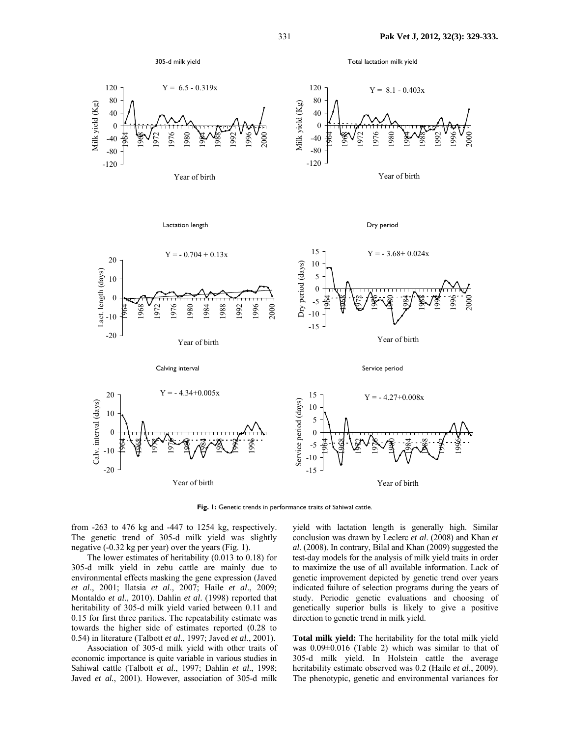

Total lactation milk yield



Year of birth



Year of birth



**Fig. 1:** Genetic trends in performance traits of Sahiwal cattle.

from -263 to 476 kg and -447 to 1254 kg, respectively. The genetic trend of 305-d milk yield was slightly negative (-0.32 kg per year) over the years (Fig. 1).

The lower estimates of heritability (0.013 to 0.18) for 305-d milk yield in zebu cattle are mainly due to environmental effects masking the gene expression (Javed *et al*., 2001; Ilatsia *et al*., 2007; Haile *et al*., 2009; Montaldo *et al*., 2010). Dahlin *et al*. (1998) reported that heritability of 305-d milk yield varied between 0.11 and 0.15 for first three parities. The repeatability estimate was towards the higher side of estimates reported (0.28 to 0.54) in literature (Talbott *et al*., 1997; Javed *et al*., 2001).

Association of 305-d milk yield with other traits of economic importance is quite variable in various studies in Sahiwal cattle (Talbott *et al*., 1997; Dahlin *et al*., 1998; Javed *et al.*, 2001). However, association of 305-d milk

yield with lactation length is generally high. Similar conclusion was drawn by Leclerc *et al*. (2008) and Khan *et al*. (2008). In contrary, Bilal and Khan (2009) suggested the test-day models for the analysis of milk yield traits in order to maximize the use of all available information. Lack of genetic improvement depicted by genetic trend over years indicated failure of selection programs during the years of study. Periodic genetic evaluations and choosing of genetically superior bulls is likely to give a positive direction to genetic trend in milk yield.

**Total milk yield:** The heritability for the total milk yield was 0.09±0.016 (Table 2) which was similar to that of 305-d milk yield. In Holstein cattle the average heritability estimate observed was 0.2 (Haile *et al*., 2009). The phenotypic, genetic and environmental variances for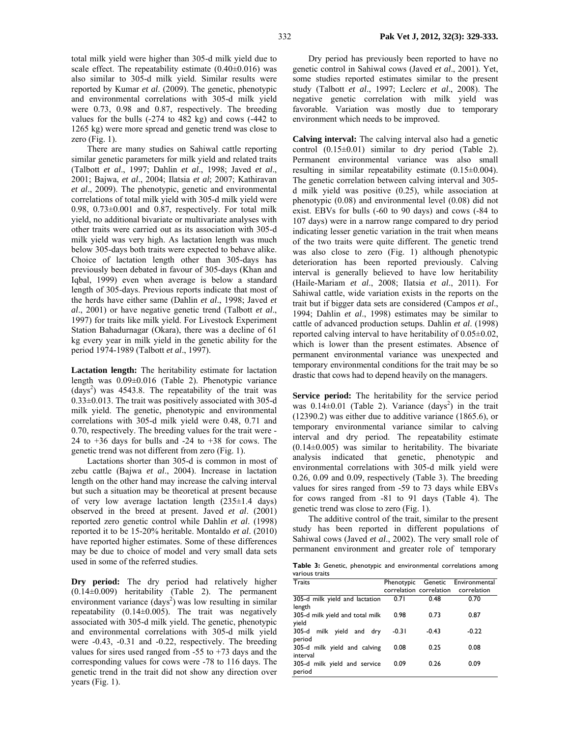total milk yield were higher than 305-d milk yield due to scale effect. The repeatability estimate  $(0.40\pm0.016)$  was also similar to 305-d milk yield. Similar results were reported by Kumar *et al*. (2009). The genetic, phenotypic and environmental correlations with 305-d milk yield were 0.73, 0.98 and 0.87, respectively. The breeding values for the bulls (-274 to 482 kg) and cows (-442 to 1265 kg) were more spread and genetic trend was close to zero  $(Fig. 1)$ .

There are many studies on Sahiwal cattle reporting similar genetic parameters for milk yield and related traits (Talbott *et al*., 1997; Dahlin *et al*., 1998; Javed *et al*., 2001; Bajwa, *et al*., 2004; Ilatsia *et al*; 2007; Kathiravan *et al*., 2009). The phenotypic, genetic and environmental correlations of total milk yield with 305-d milk yield were 0.98, 0.73±0.001 and 0.87, respectively. For total milk yield, no additional bivariate or multivariate analyses with other traits were carried out as its association with 305-d milk yield was very high. As lactation length was much below 305-days both traits were expected to behave alike. Choice of lactation length other than 305-days has previously been debated in favour of 305-days (Khan and Iqbal, 1999) even when average is below a standard length of 305-days. Previous reports indicate that most of the herds have either same (Dahlin *et al*., 1998; Javed *et al*., 2001) or have negative genetic trend (Talbott *et al*., 1997) for traits like milk yield. For Livestock Experiment Station Bahadurnagar (Okara), there was a decline of 61 kg every year in milk yield in the genetic ability for the period 1974-1989 (Talbott *et al*., 1997).

**Lactation length:** The heritability estimate for lactation length was 0.09±0.016 (Table 2). Phenotypic variance  $(days<sup>2</sup>)$  was 4543.8. The repeatability of the trait was 0.33±0.013. The trait was positively associated with 305-d milk yield. The genetic, phenotypic and environmental correlations with 305-d milk yield were 0.48, 0.71 and 0.70, respectively. The breeding values for the trait were - 24 to +36 days for bulls and -24 to +38 for cows. The genetic trend was not different from zero (Fig. 1).

Lactations shorter than 305-d is common in most of zebu cattle (Bajwa *et al*., 2004). Increase in lactation length on the other hand may increase the calving interval but such a situation may be theoretical at present because of very low average lactation length (235±1.4 days) observed in the breed at present. Javed *et al*. (2001) reported zero genetic control while Dahlin *et al*. (1998) reported it to be 15-20% heritable. Montaldo *et al*. (2010) have reported higher estimates. Some of these differences may be due to choice of model and very small data sets used in some of the referred studies.

**Dry period:** The dry period had relatively higher (0.14±0.009) heritability (Table 2). The permanent environment variance  $(days^2)$  was low resulting in similar repeatability  $(0.14\pm0.005)$ . The trait was negatively associated with 305-d milk yield. The genetic, phenotypic and environmental correlations with 305-d milk yield were -0.43, -0.31 and -0.22, respectively. The breeding values for sires used ranged from  $-55$  to  $+73$  days and the corresponding values for cows were -78 to 116 days. The genetic trend in the trait did not show any direction over years (Fig. 1).

Dry period has previously been reported to have no genetic control in Sahiwal cows (Javed *et al*., 2001). Yet, some studies reported estimates similar to the present study (Talbott *et al*., 1997; Leclerc *et al*., 2008). The negative genetic correlation with milk yield was favorable. Variation was mostly due to temporary environment which needs to be improved.

**Calving interval:** The calving interval also had a genetic control  $(0.15\pm0.01)$  similar to dry period (Table 2). Permanent environmental variance was also small resulting in similar repeatability estimate (0.15±0.004). The genetic correlation between calving interval and 305 d milk yield was positive (0.25), while association at phenotypic (0.08) and environmental level (0.08) did not exist. EBVs for bulls (-60 to 90 days) and cows (-84 to 107 days) were in a narrow range compared to dry period indicating lesser genetic variation in the trait when means of the two traits were quite different. The genetic trend was also close to zero (Fig. 1) although phenotypic deterioration has been reported previously. Calving interval is generally believed to have low heritability (Haile-Mariam *et al*., 2008; Ilatsia *et al*., 2011). For Sahiwal cattle, wide variation exists in the reports on the trait but if bigger data sets are considered (Campos *et al*., 1994; Dahlin *et al*., 1998) estimates may be similar to cattle of advanced production setups. Dahlin *et al*. (1998) reported calving interval to have heritability of  $0.05\pm0.02$ , which is lower than the present estimates. Absence of permanent environmental variance was unexpected and temporary environmental conditions for the trait may be so drastic that cows had to depend heavily on the managers.

**Service period:** The heritability for the service period was  $0.14\pm0.01$  (Table 2). Variance (days<sup>2</sup>) in the trait (12390.2) was either due to additive variance (1865.6), or temporary environmental variance similar to calving interval and dry period. The repeatability estimate  $(0.14\pm0.005)$  was similar to heritability. The bivariate analysis indicated that genetic, phenotypic and environmental correlations with 305-d milk yield were 0.26, 0.09 and 0.09, respectively (Table 3). The breeding values for sires ranged from -59 to 73 days while EBVs for cows ranged from -81 to 91 days (Table 4). The genetic trend was close to zero (Fig. 1).

The additive control of the trait, similar to the present study has been reported in different populations of Sahiwal cows (Javed *et al*., 2002). The very small role of permanent environment and greater role of temporary

**Table 3:** Genetic, phenotypic and environmental correlations among various traits

| Traits                                   |         |         | Phenotypic Genetic Environmental    |
|------------------------------------------|---------|---------|-------------------------------------|
|                                          |         |         | correlation correlation correlation |
| 305-d milk yield and lactation<br>length | 0.71    | 0.48    | 0.70                                |
| 305-d milk yield and total milk<br>yield | 0.98    | 0.73    | 0.87                                |
| 305-d<br>milk yield and dry<br>period    | $-0.31$ | $-0.43$ | $-0.22$                             |
| 305-d milk yield and calving<br>interval | 0.08    | 0.25    | 0.08                                |
| 305-d milk yield and service<br>period   | 0.09    | 0.26    | 0.09                                |